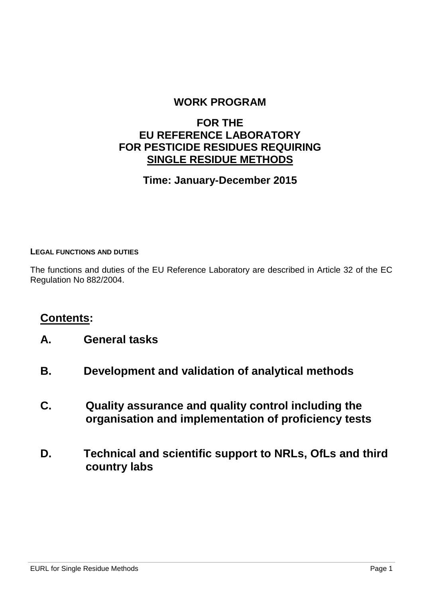### **WORK PROGRAM**

### **FOR THE EU REFERENCE LABORATORY FOR PESTICIDE RESIDUES REQUIRING SINGLE RESIDUE METHODS**

### **Time: January-December 2015**

#### **LEGAL FUNCTIONS AND DUTIES**

The functions and duties of the EU Reference Laboratory are described in Article 32 of the EC Regulation No 882/2004.

### **Contents:**

- **A. General tasks**
- **B. Development and validation of analytical methods**
- **C. Quality assurance and quality control including the organisation and implementation of proficiency tests**
- **D. Technical and scientific support to NRLs, OfLs and third country labs**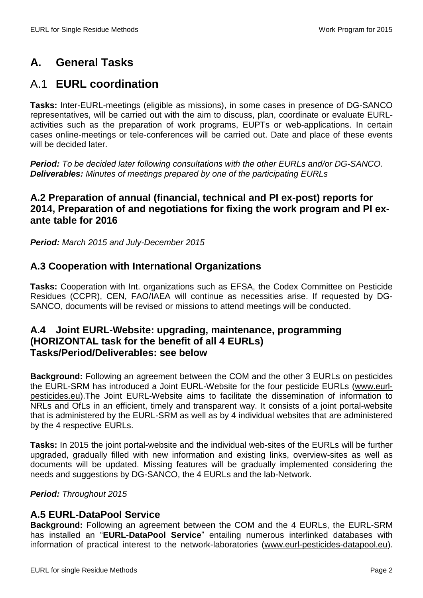# **A. General Tasks**

## A.1 **EURL coordination**

**Tasks:** Inter-EURL-meetings (eligible as missions), in some cases in presence of DG-SANCO representatives, will be carried out with the aim to discuss, plan, coordinate or evaluate EURLactivities such as the preparation of work programs, EUPTs or web-applications. In certain cases online-meetings or tele-conferences will be carried out. Date and place of these events will be decided later.

*Period: To be decided later following consultations with the other EURLs and/or DG-SANCO. Deliverables: Minutes of meetings prepared by one of the participating EURLs*

### **A.2 Preparation of annual (financial, technical and PI ex-post) reports for 2014, Preparation of and negotiations for fixing the work program and PI exante table for 2016**

*Period: March 2015 and July-December 2015*

### **A.3 Cooperation with International Organizations**

**Tasks:** Cooperation with Int. organizations such as EFSA, the Codex Committee on Pesticide Residues (CCPR), CEN, FAO/IAEA will continue as necessities arise. If requested by DG-SANCO, documents will be revised or missions to attend meetings will be conducted.

### **A.4 Joint EURL-Website: upgrading, maintenance, programming (HORIZONTAL task for the benefit of all 4 EURLs) Tasks/Period/Deliverables: see below**

**Background:** Following an agreement between the COM and the other 3 EURLs on pesticides the EURL-SRM has introduced a Joint EURL-Website for the four pesticide EURLs [\(www.eurl](http://www.eurl-pesticides.eu/)[pesticides.eu\)](http://www.eurl-pesticides.eu/).The Joint EURL-Website aims to facilitate the dissemination of information to NRLs and OfLs in an efficient, timely and transparent way. It consists of a joint portal-website that is administered by the EURL-SRM as well as by 4 individual websites that are administered by the 4 respective EURLs.

**Tasks:** In 2015 the joint portal-website and the individual web-sites of the EURLs will be further upgraded, gradually filled with new information and existing links, overview-sites as well as documents will be updated. Missing features will be gradually implemented considering the needs and suggestions by DG-SANCO, the 4 EURLs and the lab-Network.

#### *Period: Throughout 2015*

### **A.5 EURL-DataPool Service**

**Background:** Following an agreement between the COM and the 4 EURLs, the EURL-SRM has installed an "**EURL-DataPool Service**" entailing numerous interlinked databases with information of practical interest to the network-laboratories [\(www.eurl-pesticides-datapool.eu\)](http://www.eurl-pesticides-datapool.eu/).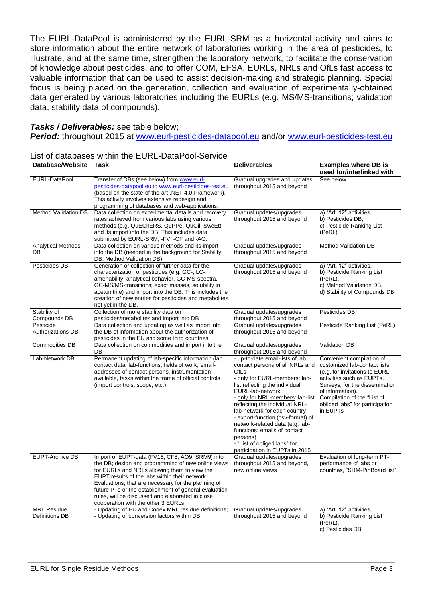The EURL-DataPool is administered by the EURL-SRM as a horizontal activity and aims to store information about the entire network of laboratories working in the area of pesticides, to illustrate, and at the same time, strengthen the laboratory network, to facilitate the conservation of knowledge about pesticides, and to offer COM, EFSA, EURLs, NRLs and OfLs fast access to valuable information that can be used to assist decision-making and strategic planning. Special focus is being placed on the generation, collection and evaluation of experimentally-obtained data generated by various laboratories including the EURLs (e.g. MS/MS-transitions; validation data, stability data of compounds).

#### *Tasks / Deliverables:* see table below;

*Period:* throughout 2015 at [www.eurl-pesticides-datapool.eu](http://www.eurl-pesticides-datapool.eu/) and/or [www.eurl-pesticides-test.eu](http://www.eurl-pesticides-test.eu/)

| <b>Database/Website</b>               | Task                                                                                                                                                                                                                                                                                                                                                                                                               | <b>Deliverables</b>                                                                                                                                                                                                                                                                                                                                                                                                                                            | <b>Examples where DB is</b><br>used for/interlinked with                                                                                                                                                                                                     |
|---------------------------------------|--------------------------------------------------------------------------------------------------------------------------------------------------------------------------------------------------------------------------------------------------------------------------------------------------------------------------------------------------------------------------------------------------------------------|----------------------------------------------------------------------------------------------------------------------------------------------------------------------------------------------------------------------------------------------------------------------------------------------------------------------------------------------------------------------------------------------------------------------------------------------------------------|--------------------------------------------------------------------------------------------------------------------------------------------------------------------------------------------------------------------------------------------------------------|
| EURL-DataPool                         | Transfer of DBs (see below) from www.eurl-<br>pesticides-datapool.eu to www.eurl-pesticides-test.eu<br>(based on the state-of-the-art .NET 4.0-Framework).<br>This activity involves extensive redesign and<br>programming of databases and web-applications.                                                                                                                                                      | Gradual upgrades and updates<br>throughout 2015 and beyond                                                                                                                                                                                                                                                                                                                                                                                                     | See below                                                                                                                                                                                                                                                    |
| <b>Method Validation DB</b>           | Data collection on experimental details and recovery<br>rates achieved from various labs using various<br>methods (e.g. QuEChERS, QuPPe, QuOil, SweEt)<br>and its import into the DB. This includes data<br>submitted by EURL-SRM, -FV, -CF and -AO.                                                                                                                                                               | Gradual updates/upgrades<br>throughout 2015 and beyond                                                                                                                                                                                                                                                                                                                                                                                                         | a) "Art. 12" activities,<br>b) Pesticides DB,<br>c) Pesticide Ranking List<br>(PeRL)                                                                                                                                                                         |
| <b>Analytical Methods</b><br>DB       | Data collection on various methods and its import<br>into the DB (needed in the background for Stability<br>DB, Method Validation DB)                                                                                                                                                                                                                                                                              | Gradual updates/upgrades<br>throughout 2015 and beyond                                                                                                                                                                                                                                                                                                                                                                                                         | Method Validation DB                                                                                                                                                                                                                                         |
| Pesticides DB                         | Generation or collection of further data for the<br>characterization of pesticides (e.g. GC-, LC-<br>amenability, analytical behavior, GC-MS-spectra,<br>GC-MS/MS-transitions; exact masses, solubility in<br>acetonitrile) and import into the DB. This includes the<br>creation of new entries for pesticides and metabolites<br>not yet in the DB.                                                              | Gradual updates/upgrades<br>throughout 2015 and beyond                                                                                                                                                                                                                                                                                                                                                                                                         | a) "Art. 12" activities,<br>b) Pesticide Ranking List<br>(PeRL),<br>c) Method Validation DB,<br>d) Stability of Compounds DB                                                                                                                                 |
| Stability of<br>Compounds DB          | Collection of more stability data on<br>pesticides/metabolites and import into DB                                                                                                                                                                                                                                                                                                                                  | Gradual updates/upgrades<br>throughout 2015 and beyond                                                                                                                                                                                                                                                                                                                                                                                                         | Pesticides DB                                                                                                                                                                                                                                                |
| Pesticide<br><b>Authorizations DB</b> | Data collection and updating as well as import into<br>the DB of information about the authorization of<br>pesticides in the EU and some third countries                                                                                                                                                                                                                                                           | Gradual updates/upgrades<br>throughout 2015 and beyond                                                                                                                                                                                                                                                                                                                                                                                                         | Pesticide Ranking List (PeRL)                                                                                                                                                                                                                                |
| <b>Commodities DB</b>                 | Data collection on commodities and import into the<br>DB                                                                                                                                                                                                                                                                                                                                                           | Gradual updates/upgrades<br>throughout 2015 and beyond                                                                                                                                                                                                                                                                                                                                                                                                         | Validation DB                                                                                                                                                                                                                                                |
| Lab-Network DB                        | Permanent updating of lab-specific information (lab<br>contact data, lab-functions, fields of work, email-<br>addresses of contact persons, instrumentation<br>available, tasks within the frame of official controls<br>(import controls, scope, etc.)                                                                                                                                                            | - up-to-date email-lists of lab<br>contact persons of all NRLs and<br>OfLs<br>- only for EURL-members: lab-<br>list reflecting the individual<br>EURL-lab-network;<br>- only for NRL-members: lab-list<br>reflecting the individual NRL-<br>lab-network for each country<br>- export-function (csv-format) of<br>network-related data (e.g. lab-<br>functions; emails of contact<br>persons)<br>- "List of obliged labs" for<br>participation in EUPTs in 2015 | Convenient compilation of<br>customized lab-contact lists<br>(e.g. for invitations to EURL-<br>activities such as EUPTs,<br>Surveys, for the dissemination<br>of information).<br>Compilation of the "List of<br>obliged labs" for participation<br>in EUPTs |
| <b>EUPT-Archive DB</b>                | Import of EUPT-data (FV16; CF8; AO9; SRM9) into<br>the DB; design and programming of new online views<br>for EURLs and NRLs allowing them to view the<br>EUPT results of the labs within their network.<br>Evaluations, that are necessary for the planning of<br>future PTs or the establishment of general evaluation<br>rules, will be discussed and elaborated in close<br>cooperation with the other 3 EURLs. | Gradual updates/upgrades<br>throughout 2015 and beyond,<br>new online views                                                                                                                                                                                                                                                                                                                                                                                    | Evaluation of long-term PT-<br>performance of labs or<br>countries, "SRM-PinBoard list"                                                                                                                                                                      |
| <b>MRL Residue</b><br>Definitions DB  | - Updating of EU and Codex MRL residue definitions;<br>- Updating of conversion factors within DB                                                                                                                                                                                                                                                                                                                  | Gradual updates/upgrades<br>throughout 2015 and beyond                                                                                                                                                                                                                                                                                                                                                                                                         | a) "Art. 12" activities,<br>b) Pesticide Ranking List<br>(PeRL),<br>c) Pesticides DB                                                                                                                                                                         |

#### List of databases within the EURL-DataPool-Service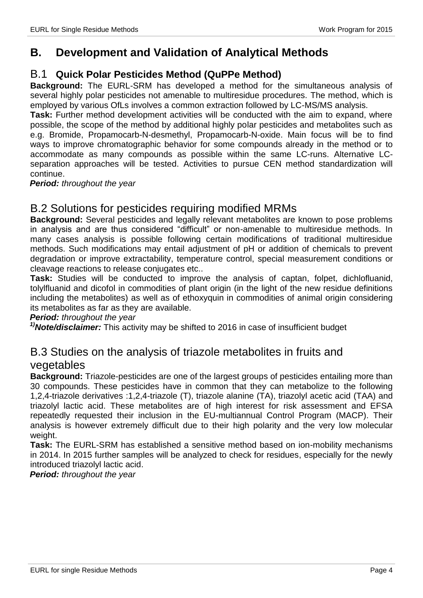### **B. Development and Validation of Analytical Methods**

### B.1 **Quick Polar Pesticides Method (QuPPe Method)**

**Background:** The EURL-SRM has developed a method for the simultaneous analysis of several highly polar pesticides not amenable to multiresidue procedures. The method, which is employed by various OfLs involves a common extraction followed by LC-MS/MS analysis.

**Task:** Further method development activities will be conducted with the aim to expand, where possible, the scope of the method by additional highly polar pesticides and metabolites such as e.g. Bromide, Propamocarb-N-desmethyl, Propamocarb-N-oxide. Main focus will be to find ways to improve chromatographic behavior for some compounds already in the method or to accommodate as many compounds as possible within the same LC-runs. Alternative LCseparation approaches will be tested. Activities to pursue CEN method standardization will continue.

*Period: throughout the year*

### B.2 Solutions for pesticides requiring modified MRMs

**Background:** Several pesticides and legally relevant metabolites are known to pose problems in analysis and are thus considered "difficult" or non-amenable to multiresidue methods. In many cases analysis is possible following certain modifications of traditional multiresidue methods. Such modifications may entail adjustment of pH or addition of chemicals to prevent degradation or improve extractability, temperature control, special measurement conditions or cleavage reactions to release conjugates etc..

**Task:** Studies will be conducted to improve the analysis of captan, folpet, dichlofluanid, tolylfluanid and dicofol in commodities of plant origin (in the light of the new residue definitions including the metabolites) as well as of ethoxyquin in commodities of animal origin considering its metabolites as far as they are available.

#### *Period: throughout the year*

*1)Note/disclaimer:* This activity may be shifted to 2016 in case of insufficient budget

### B.3 Studies on the analysis of triazole metabolites in fruits and vegetables

**Background:** Triazole-pesticides are one of the largest groups of pesticides entailing more than 30 compounds. These pesticides have in common that they can metabolize to the following 1,2,4-triazole derivatives :1,2,4-triazole (T), triazole alanine (TA), triazolyl acetic acid (TAA) and triazolyl lactic acid. These metabolites are of high interest for risk assessment and EFSA repeatedly requested their inclusion in the EU-multiannual Control Program (MACP). Their analysis is however extremely difficult due to their high polarity and the very low molecular weight.

**Task:** The EURL-SRM has established a sensitive method based on ion-mobility mechanisms in 2014. In 2015 further samples will be analyzed to check for residues, especially for the newly introduced triazolyl lactic acid.

*Period: throughout the year*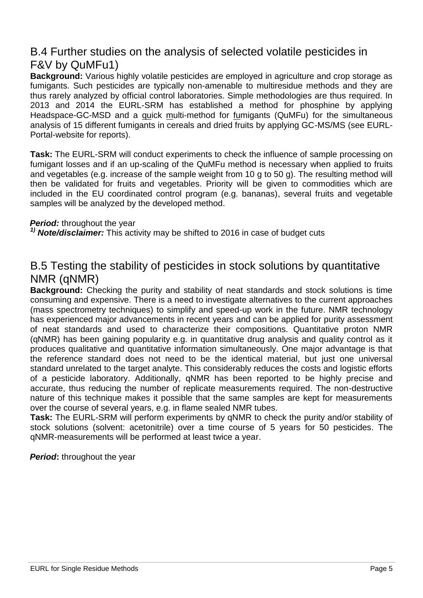## B.4 Further studies on the analysis of selected volatile pesticides in F&V by QuMFu1)

**Background:** Various highly volatile pesticides are employed in agriculture and crop storage as fumigants. Such pesticides are typically non-amenable to multiresidue methods and they are thus rarely analyzed by official control laboratories. Simple methodologies are thus required. In 2013 and 2014 the EURL-SRM has established a method for phosphine by applying Headspace-GC-MSD and a quick multi-method for fumigants (QuMFu) for the simultaneous analysis of 15 different fumigants in cereals and dried fruits by applying GC-MS/MS (see EURL-Portal-website for reports).

**Task:** The EURL-SRM will conduct experiments to check the influence of sample processing on fumigant losses and if an up-scaling of the QuMFu method is necessary when applied to fruits and vegetables (e.g. increase of the sample weight from 10 g to 50 g). The resulting method will then be validated for fruits and vegetables. Priority will be given to commodities which are included in the EU coordinated control program (e.g. bananas), several fruits and vegetable samples will be analyzed by the developed method.

#### *Period:* throughout the year

*1) Note/disclaimer:* This activity may be shifted to 2016 in case of budget cuts

## B.5 Testing the stability of pesticides in stock solutions by quantitative NMR (qNMR)

**Background:** Checking the purity and stability of neat standards and stock solutions is time consuming and expensive. There is a need to investigate alternatives to the current approaches (mass spectrometry techniques) to simplify and speed-up work in the future. NMR technology has experienced major advancements in recent years and can be applied for purity assessment of neat standards and used to characterize their compositions. Quantitative proton NMR (qNMR) has been gaining popularity e.g. in quantitative drug analysis and quality control as it produces qualitative and quantitative information simultaneously. One major advantage is that the reference standard does not need to be the identical material, but just one universal standard unrelated to the target analyte. This considerably reduces the costs and logistic efforts of a pesticide laboratory. Additionally, qNMR has been reported to be highly precise and accurate, thus reducing the number of replicate measurements required. The non-destructive nature of this technique makes it possible that the same samples are kept for measurements over the course of several years, e.g. in flame sealed NMR tubes.

**Task:** The EURL-SRM will perform experiments by qNMR to check the purity and/or stability of stock solutions (solvent: acetonitrile) over a time course of 5 years for 50 pesticides. The qNMR-measurements will be performed at least twice a year.

*Period:* throughout the year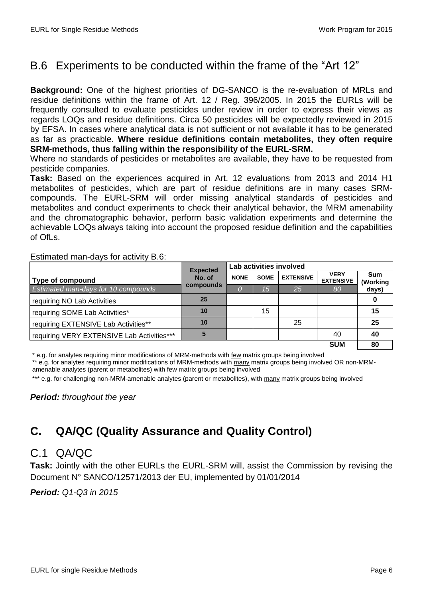# B.6 Experiments to be conducted within the frame of the "Art 12"

**Background:** One of the highest priorities of DG-SANCO is the re-evaluation of MRLs and residue definitions within the frame of Art. 12 / Reg. 396/2005. In 2015 the EURLs will be frequently consulted to evaluate pesticides under review in order to express their views as regards LOQs and residue definitions. Circa 50 pesticides will be expectedly reviewed in 2015 by EFSA. In cases where analytical data is not sufficient or not available it has to be generated as far as practicable. **Where residue definitions contain metabolites, they often require SRM-methods, thus falling within the responsibility of the EURL-SRM.** 

Where no standards of pesticides or metabolites are available, they have to be requested from pesticide companies.

**Task:** Based on the experiences acquired in Art. 12 evaluations from 2013 and 2014 H1 metabolites of pesticides, which are part of residue definitions are in many cases SRMcompounds. The EURL-SRM will order missing analytical standards of pesticides and metabolites and conduct experiments to check their analytical behavior, the MRM amenability and the chromatographic behavior, perform basic validation experiments and determine the achievable LOQs always taking into account the proposed residue definition and the capabilities of OfLs.

#### Estimated man-days for activity B.6:

|                                            | <b>Expected</b><br>No. of | Lab activities involved |             |                  |                                 |                        |
|--------------------------------------------|---------------------------|-------------------------|-------------|------------------|---------------------------------|------------------------|
| Type of compound                           |                           | <b>NONE</b>             | <b>SOME</b> | <b>EXTENSIVE</b> | <b>VERY</b><br><b>EXTENSIVE</b> | <b>Sum</b><br>(Working |
| Estimated man-days for 10 compounds        | compounds                 |                         |             | 25<br>80         |                                 | days)                  |
| requiring NO Lab Activities                | 25                        |                         |             |                  |                                 |                        |
| requiring SOME Lab Activities*             | 10                        |                         | 15          |                  |                                 | 15                     |
| requiring EXTENSIVE Lab Activities**       | 10                        |                         |             | 25               |                                 | 25                     |
| requiring VERY EXTENSIVE Lab Activities*** |                           |                         |             |                  | 40                              | 40                     |
|                                            |                           |                         |             |                  | <b>SUM</b>                      | 80                     |

\* e.g. for analytes requiring minor modifications of MRM-methods with few matrix groups being involved

\*\* e.g. for analytes requiring minor modifications of MRM-methods with many matrix groups being involved OR non-MRMamenable analytes (parent or metabolites) with few matrix groups being involved

\*\*\* e.g. for challenging non-MRM-amenable analytes (parent or metabolites), with many matrix groups being involved

*Period: throughout the year*

# **C. QA/QC (Quality Assurance and Quality Control)**

### C.1 QA/QC

**Task:** Jointly with the other EURLs the EURL-SRM will, assist the Commission by revising the Document N° SANCO/12571/2013 der EU, implemented by 01/01/2014

*Period: Q1-Q3 in 2015*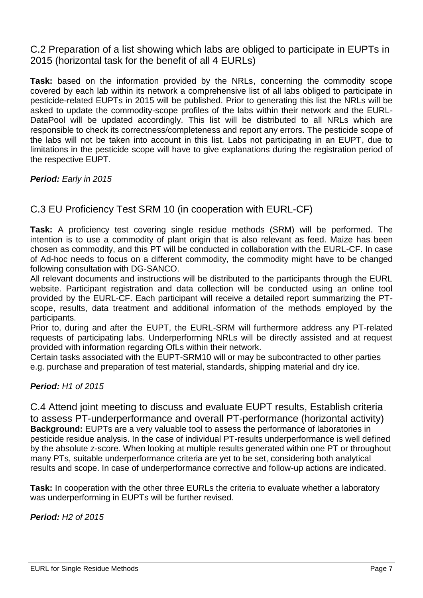C.2 Preparation of a list showing which labs are obliged to participate in EUPTs in 2015 (horizontal task for the benefit of all 4 EURLs)

**Task:** based on the information provided by the NRLs, concerning the commodity scope covered by each lab within its network a comprehensive list of all labs obliged to participate in pesticide-related EUPTs in 2015 will be published. Prior to generating this list the NRLs will be asked to update the commodity-scope profiles of the labs within their network and the EURL-DataPool will be updated accordingly. This list will be distributed to all NRLs which are responsible to check its correctness/completeness and report any errors. The pesticide scope of the labs will not be taken into account in this list. Labs not participating in an EUPT, due to limitations in the pesticide scope will have to give explanations during the registration period of the respective EUPT.

*Period: Early in 2015*

### C.3 EU Proficiency Test SRM 10 (in cooperation with EURL-CF)

**Task:** A proficiency test covering single residue methods (SRM) will be performed. The intention is to use a commodity of plant origin that is also relevant as feed. Maize has been chosen as commodity, and this PT will be conducted in collaboration with the EURL-CF. In case of Ad-hoc needs to focus on a different commodity, the commodity might have to be changed following consultation with DG-SANCO.

All relevant documents and instructions will be distributed to the participants through the EURL website. Participant registration and data collection will be conducted using an online tool provided by the EURL-CF. Each participant will receive a detailed report summarizing the PTscope, results, data treatment and additional information of the methods employed by the participants.

Prior to, during and after the EUPT, the EURL-SRM will furthermore address any PT-related requests of participating labs. Underperforming NRLs will be directly assisted and at request provided with information regarding OfLs within their network.

Certain tasks associated with the EUPT-SRM10 will or may be subcontracted to other parties e.g. purchase and preparation of test material, standards, shipping material and dry ice.

#### *Period: H1 of 2015*

C.4 Attend joint meeting to discuss and evaluate EUPT results, Establish criteria to assess PT-underperformance and overall PT-performance (horizontal activity) **Background:** EUPTs are a very valuable tool to assess the performance of laboratories in pesticide residue analysis. In the case of individual PT-results underperformance is well defined by the absolute z-score. When looking at multiple results generated within one PT or throughout many PTs, suitable underperformance criteria are yet to be set, considering both analytical results and scope. In case of underperformance corrective and follow-up actions are indicated.

**Task:** In cooperation with the other three EURLs the criteria to evaluate whether a laboratory was underperforming in EUPTs will be further revised.

*Period: H2 of 2015*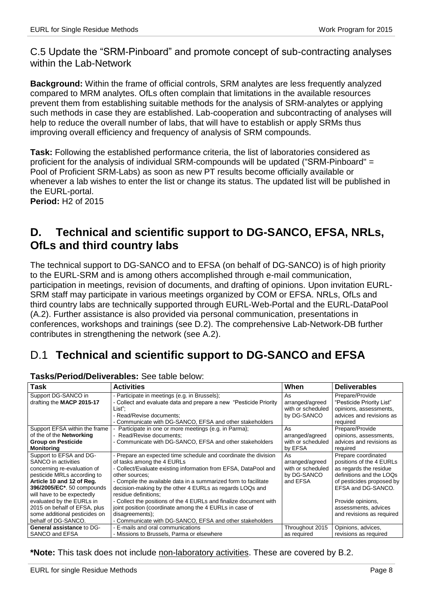C.5 Update the "SRM-Pinboard" and promote concept of sub-contracting analyses within the Lab-Network

**Background:** Within the frame of official controls, SRM analytes are less frequently analyzed compared to MRM analytes. OfLs often complain that limitations in the available resources prevent them from establishing suitable methods for the analysis of SRM-analytes or applying such methods in case they are established. Lab-cooperation and subcontracting of analyses will help to reduce the overall number of labs, that will have to establish or apply SRMs thus improving overall efficiency and frequency of analysis of SRM compounds.

**Task:** Following the established performance criteria, the list of laboratories considered as proficient for the analysis of individual SRM-compounds will be updated ("SRM-Pinboard" = Pool of Proficient SRM-Labs) as soon as new PT results become officially available or whenever a lab wishes to enter the list or change its status. The updated list will be published in the EURL-portal.

**Period:** H2 of 2015

## **D. Technical and scientific support to DG-SANCO, EFSA, NRLs, OfLs and third country labs**

The technical support to DG-SANCO and to EFSA (on behalf of DG-SANCO) is of high priority to the EURL-SRM and is among others accomplished through e-mail communication, participation in meetings, revision of documents, and drafting of opinions. Upon invitation EURL-SRM staff may participate in various meetings organized by COM or EFSA. NRLs, OfLs and third country labs are technically supported through EURL-Web-Portal and the EURL-DataPool (A.2). Further assistance is also provided via personal communication, presentations in conferences, workshops and trainings (see D.2). The comprehensive Lab-Network-DB further contributes in strengthening the network (see A.2).

# D.1 **Technical and scientific support to DG-SANCO and EFSA**

| <b>Task</b>                     | <b>Activities</b>                                                  | When              | <b>Deliverables</b>       |  |  |  |  |  |  |
|---------------------------------|--------------------------------------------------------------------|-------------------|---------------------------|--|--|--|--|--|--|
| Support DG-SANCO in             | - Participate in meetings (e.g. in Brussels);                      | As                | Prepare/Provide           |  |  |  |  |  |  |
| drafting the MACP 2015-17       | - Collect and evaluate data and prepare a new "Pesticide Priority" | arranged/agreed   | "Pesticide Priority List" |  |  |  |  |  |  |
|                                 | List":                                                             | with or scheduled | opinions, assessments,    |  |  |  |  |  |  |
|                                 | - Read/Revise documents;                                           | by DG-SANCO       | advices and revisions as  |  |  |  |  |  |  |
|                                 | - Communicate with DG-SANCO, EFSA and other stakeholders           |                   | required                  |  |  |  |  |  |  |
| Support EFSA within the frame   | - Participate in one or more meetings (e.g. in Parma);             | As                | Prepare/Provide           |  |  |  |  |  |  |
| of the of the <b>Networking</b> | - Read/Revise documents:                                           | arranged/agreed   | opinions, assessments,    |  |  |  |  |  |  |
| <b>Group on Pesticide</b>       | - Communicate with DG-SANCO, EFSA and other stakeholders           | with or scheduled | advices and revisions as  |  |  |  |  |  |  |
| <b>Monitoring</b>               |                                                                    | by EFSA           | required                  |  |  |  |  |  |  |
| Support to EFSA and DG-         | - Prepare an expected time schedule and coordinate the division    | As                | Prepare coordinated       |  |  |  |  |  |  |
| SANCO in activities             | of tasks among the 4 EURLs                                         | arranged/agreed   | positions of the 4 EURLs  |  |  |  |  |  |  |
| concerning re-evaluation of     | - Collect/Evaluate existing information from EFSA, DataPool and    | with or scheduled | as regards the residue    |  |  |  |  |  |  |
| pesticide MRLs according to     | other sources;                                                     | by DG-SANCO       | definitions and the LOQs  |  |  |  |  |  |  |
| Article 10 and 12 of Reg.       | - Compile the available data in a summarized form to facilitate    | and EFSA          | of pesticides proposed by |  |  |  |  |  |  |
| 396/2005/EC*. 50 compounds      | decision-making by the other 4 EURLs as regards LOQs and           |                   | EFSA and DG-SANCO.        |  |  |  |  |  |  |
| will have to be expectedly      | residue definitions:                                               |                   |                           |  |  |  |  |  |  |
| evaluated by the EURLs in       | - Collect the positions of the 4 EURLs and finalize document with  |                   | Provide opinions,         |  |  |  |  |  |  |
| 2015 on behalf of EFSA, plus    | joint position (coordinate among the 4 EURLs in case of            |                   | assessments, advices      |  |  |  |  |  |  |
| some additional pesticides on   | disagreements);                                                    |                   | and revisions as required |  |  |  |  |  |  |
| behalf of DG-SANCO.             | - Communicate with DG-SANCO, EFSA and other stakeholders           |                   |                           |  |  |  |  |  |  |
| General assistance to DG-       | - E-mails and oral communications                                  | Throughout 2015   | Opinions, advices,        |  |  |  |  |  |  |
| SANCO and EFSA                  | - Missions to Brussels, Parma or elsewhere                         | as required       | revisions as required     |  |  |  |  |  |  |

#### **Tasks/Period/Deliverables:** See table below:

**\*Note:** This task does not include non-laboratory activities. These are covered by B.2.